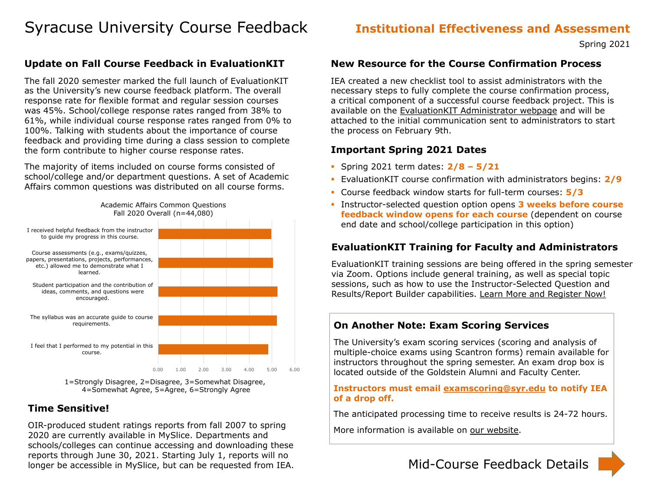# Syracuse University Course Feedback **Institutional Effectiveness and Assessment**

Spring 2021

1=Strongly Disagree, 2=Disagree, 3=Somewhat Disagree, 4=Somewhat Agree, 5=Agree, 6=Strongly Agree

# **Time Sensitive!**

## **Update on Fall Course Feedback in EvaluationKIT** 0.00 1.00 2.00 3.00 4.00 5.00 6.00 I feel that I performed to my potential in this course. The syllabus was an accurate guide to course requirements. Student participation and the contribution of ideas, comments, and questions were encouraged. Course assessments (e.g., exams/quizzes, papers, presentations, projects, performances, etc.) allowed me to demonstrate what I learned. I received helpful feedback from the instructor to guide my progress in this course. The fall 2020 semester marked the full launch of EvaluationKIT as the University's new course feedback platform. The overall response rate for flexible format and regular session courses was 45%. School/college response rates ranged from 38% to 61%, while individual course response rates ranged from 0% to 100%. Talking with students about the importance of course feedback and providing time during a class session to complete the form contribute to higher course response rates. The majority of items included on course forms consisted of school/college and/or department questions. A set of Academic Affairs common questions was distributed on all course forms. Academic Affairs Common Questions Fall 2020 Overall (n=44,080) **New Resource for the Course Confirmation Process** IEA created a new checklist tool to assist administrators with the necessary steps to fully complete the course confirmation process, a critical component of a successful course feedback project. This is available on the [EvaluationKIT Administrator webpage](https://effectiveness.syr.edu/course-feedback/evaluationkit/for-administrators/) and will be attached to the initial communication sent to administrators to start the process on February 9th. **Important Spring 2021 Dates** Spring 2021 term dates: **2/8 – 5/21** EvaluationKIT course confirmation with administrators begins: **2/9** Course feedback window starts for full-term courses: **5/3 EXTE: Instructor-selected question option opens 3 weeks before course feedback window opens for each course** (dependent on course end date and school/college participation in this option) **EvaluationKIT Training for Faculty and Administrators** via Zoom. Options include general training, as well as special topic sessions, such as how to use the Instructor-Selected Question and Results/Report Builder capabilities. [Learn More and Register Now!](https://syracuseuniversity.qualtrics.com/jfe/form/SV_3D9DIkHe6r4lFat) **On Another Note: Exam Scoring Services** The University's exam scoring services (scoring and analysis of multiple-choice exams using Scantron forms) remain available for instructors throughout the spring semester. An exam drop box is

OIR-produced student ratings reports from fall 2007 to spring 2020 are currently available in MySlice. Departments and schools/colleges can continue accessing and downloading these reports through June 30, 2021. Starting July 1, reports will no longer be accessible in MySlice, but can be requested from IEA.

- 
- 
- 
- 
- 
- 

EvaluationKIT training sessions are being offered in the spring semester

located outside of the Goldstein Alumni and Faculty Center.

## **Instructors must email [examscoring@syr.edu](mailto:examscoring@syr.edu) to notify IEA of a drop off.**

The anticipated processing time to receive results is 24-72 hours.

More information is available on [our website.](https://effectiveness.syr.edu/exam-scoring/spring-2021-update/)

# Mid-Course Feedback Details